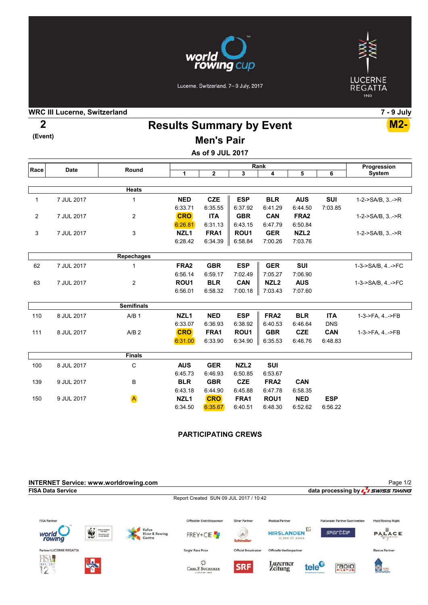

Lucerne, Switzerland, 7-9 July, 2017



WRC III Lucerne, Switzerland 7 - 9 July

(Event)

Results Summary by Event 2 M2-

# Men's Pair

As of 9 JUL 2017

| Race           | <b>Date</b> | Round             | Rank             |              |                         |                  |                  |            | Progression      |
|----------------|-------------|-------------------|------------------|--------------|-------------------------|------------------|------------------|------------|------------------|
|                |             |                   | 1                | $\mathbf{2}$ | $\overline{\mathbf{3}}$ | 4                | 5                | 6          | <b>System</b>    |
|                |             |                   |                  |              |                         |                  |                  |            |                  |
|                |             | Heats             |                  |              |                         |                  |                  |            |                  |
| 1              | 7 JUL 2017  | 1                 | <b>NED</b>       | <b>CZE</b>   | <b>ESP</b>              | <b>BLR</b>       | <b>AUS</b>       | SUI        | 1-2->SA/B, 3->R  |
|                |             |                   | 6:33.71          | 6:35.55      | 6:37.92                 | 6:41.29          | 6:44.50          | 7:03.85    |                  |
| $\overline{2}$ | 7 JUL 2017  | 2                 | <b>CRO</b>       | <b>ITA</b>   | <b>GBR</b>              | <b>CAN</b>       | FRA <sub>2</sub> |            | 1-2->SA/B, 3->R  |
|                |             |                   | 6:26.81          | 6:31.13      | 6:43.15                 | 6:47.79          | 6:50.84          |            |                  |
| 3              | 7 JUL 2017  | $\mathsf 3$       | NZL <sub>1</sub> | FRA1         | ROU <sub>1</sub>        | <b>GER</b>       | NZL <sub>2</sub> |            | 1-2->SA/B, 3->R  |
|                |             |                   | 6:28.42          | 6:34.39      | 6:58.84                 | 7:00.26          | 7:03.76          |            |                  |
|                |             |                   |                  |              |                         |                  |                  |            |                  |
|                |             | Repechages        |                  |              |                         |                  |                  |            |                  |
| 62             | 7 JUL 2017  | 1                 | FRA <sub>2</sub> | <b>GBR</b>   | <b>ESP</b>              | <b>GER</b>       | <b>SUI</b>       |            | 1-3->SA/B, 4->FC |
|                |             |                   | 6:56.14          | 6:59.17      | 7:02.49                 | 7:05.27          | 7:06.90          |            |                  |
| 63             | 7 JUL 2017  | $\overline{c}$    | ROU <sub>1</sub> | <b>BLR</b>   | <b>CAN</b>              | NZL <sub>2</sub> | <b>AUS</b>       |            | 1-3->SA/B, 4->FC |
|                |             |                   | 6:56.01          | 6:58.32      | 7:00.18                 | 7:03.43          | 7:07.60          |            |                  |
|                |             | <b>Semifinals</b> |                  |              |                         |                  |                  |            |                  |
| 110            | 8 JUL 2017  | A/B <sub>1</sub>  | NZL <sub>1</sub> | <b>NED</b>   | <b>ESP</b>              | FRA <sub>2</sub> | <b>BLR</b>       | <b>ITA</b> | 1-3->FA, 4->FB   |
|                |             |                   | 6:33.07          | 6:36.93      | 6:38.92                 | 6:40.53          | 6:46.64          | <b>DNS</b> |                  |
| 111            | 8 JUL 2017  | A/B <sub>2</sub>  | <b>CRO</b>       | FRA1         | ROU <sub>1</sub>        | <b>GBR</b>       | <b>CZE</b>       | <b>CAN</b> | 1-3->FA, 4->FB   |
|                |             |                   | 6:31.00          | 6:33.90      | 6:34.90                 | 6:35.53          | 6:46.76          | 6:48.83    |                  |
|                |             | <b>Finals</b>     |                  |              |                         |                  |                  |            |                  |
|                |             |                   |                  |              |                         |                  |                  |            |                  |
| 100            | 8 JUL 2017  | С                 | <b>AUS</b>       | <b>GER</b>   | NZL <sub>2</sub>        | <b>SUI</b>       |                  |            |                  |
|                |             |                   | 6:45.73          | 6:46.93      | 6:50.85                 | 6:53.67          |                  |            |                  |
| 139            | 9 JUL 2017  | B                 | <b>BLR</b>       | <b>GBR</b>   | <b>CZE</b>              | FRA <sub>2</sub> | <b>CAN</b>       |            |                  |
|                |             |                   | 6:43.18          | 6:44.90      | 6:45.88                 | 6:47.78          | 6:58.35          |            |                  |
| 150            | 9 JUL 2017  | A                 | NZL <sub>1</sub> | <b>CRO</b>   | FRA1                    | ROU <sub>1</sub> | <b>NED</b>       | <b>ESP</b> |                  |
|                |             |                   | 6:34.50          | 6:35.67      | 6:40.51                 | 6:48.30          | 6:52.62          | 6:56.22    |                  |

### PARTICIPATING CREWS